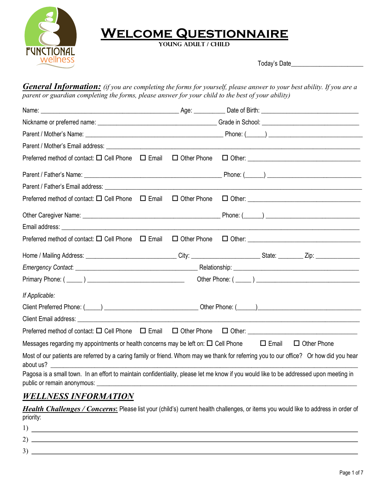

## **Welcome Questionnaire**

 **Young Adult / Child** 

Today's Date\_\_\_\_\_\_\_\_\_\_\_\_\_\_\_\_\_\_\_\_\_\_\_

*General Information: (if you are completing the forms for yourself, please answer to your best ability. If you are a parent or guardian completing the forms, please answer for your child to the best of your ability)*

| Preferred method of contact: □ Cell Phone □ Email                                                    | $\Box$ Other Phone |                                                                                                                                                                                                                                |
|------------------------------------------------------------------------------------------------------|--------------------|--------------------------------------------------------------------------------------------------------------------------------------------------------------------------------------------------------------------------------|
|                                                                                                      |                    |                                                                                                                                                                                                                                |
|                                                                                                      |                    |                                                                                                                                                                                                                                |
|                                                                                                      |                    |                                                                                                                                                                                                                                |
|                                                                                                      |                    |                                                                                                                                                                                                                                |
|                                                                                                      |                    |                                                                                                                                                                                                                                |
| Preferred method of contact: $\Box$ Cell Phone $\Box$ Email                                          |                    |                                                                                                                                                                                                                                |
|                                                                                                      |                    |                                                                                                                                                                                                                                |
|                                                                                                      |                    |                                                                                                                                                                                                                                |
|                                                                                                      |                    |                                                                                                                                                                                                                                |
| If Applicable:                                                                                       |                    |                                                                                                                                                                                                                                |
|                                                                                                      |                    | Client Preferred Phone: (Comparison Client Phone: (Comparison Client Phone: (Comparison Client Preferred Phone: (Comparison Client Phone: (Comparison Client Phone: (Comparison Client Phone: Comparison Client Phone: Compari |
|                                                                                                      |                    |                                                                                                                                                                                                                                |
|                                                                                                      |                    |                                                                                                                                                                                                                                |
| Messages regarding my appointments or health concerns may be left on: $\Box$ Cell Phone $\Box$ Email |                    | $\Box$ Other Phone                                                                                                                                                                                                             |
|                                                                                                      |                    | Most of our patients are referred by a caring family or friend. Whom may we thank for referring you to our office? Or how did you hear                                                                                         |
| public or remain anonymous: _____________                                                            |                    | Pagosa is a small town. In an effort to maintain confidentiality, please let me know if you would like to be addressed upon meeting in                                                                                         |
| <b>WELLNESS INFORMATION</b>                                                                          |                    |                                                                                                                                                                                                                                |

## *Health Challenges / Concerns***:** Please list your (child's) current health challenges, or items you would like to address in order of priority:

| <u> 1989 - Andrea Andrew Maria (h. 1989).</u>                                                                         |
|-----------------------------------------------------------------------------------------------------------------------|
|                                                                                                                       |
| <u> 1980 - Jan Sterling von Berling von Berling von Berling von Berling von Berling von Berling von Berling von B</u> |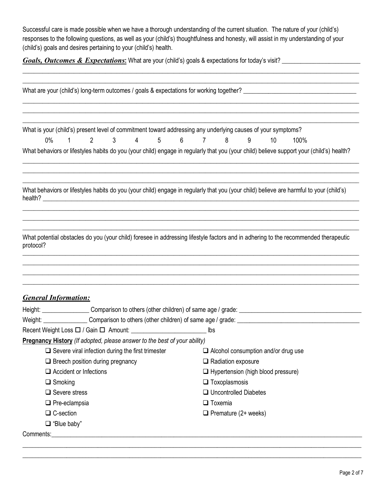Successful care is made possible when we have a thorough understanding of the current situation. The nature of your (child's) responses to the following questions, as well as your (child's) thoughtfulness and honesty, will assist in my understanding of your (child's) goals and desires pertaining to your (child's) health.

**Goals, Outcomes & Expectations**: What are your (child's) goals & expectations for today's visit? \_\_\_\_\_\_\_\_\_\_\_\_\_\_\_\_

|                                                                                                                                                                               | What are your (child's) long-term outcomes / goals & expectations for working together?                                                                                |
|-------------------------------------------------------------------------------------------------------------------------------------------------------------------------------|------------------------------------------------------------------------------------------------------------------------------------------------------------------------|
| What is your (child's) present level of commitment toward addressing any underlying causes of your symptoms?<br>$3 \qquad 4$<br>$0\%$<br>$2^{\sim}$<br>$1 \quad \blacksquare$ | 5 6 7 8<br>9<br>10<br>100%<br>What behaviors or lifestyles habits do you (your child) engage in regularly that you (your child) believe support your (child's) health? |
|                                                                                                                                                                               | What behaviors or lifestyles habits do you (your child) engage in regularly that you (your child) believe are harmful to your (child's)                                |
| protocol?                                                                                                                                                                     | What potential obstacles do you (your child) foresee in addressing lifestyle factors and in adhering to the recommended therapeutic                                    |
| <b>General Information:</b>                                                                                                                                                   |                                                                                                                                                                        |
|                                                                                                                                                                               |                                                                                                                                                                        |
|                                                                                                                                                                               |                                                                                                                                                                        |
|                                                                                                                                                                               | lbs                                                                                                                                                                    |
| <b>Pregnancy History</b> (If adopted, please answer to the best of your ability)                                                                                              |                                                                                                                                                                        |
| $\Box$ Severe viral infection during the first trimester                                                                                                                      | $\Box$ Alcohol consumption and/or drug use                                                                                                                             |
| $\Box$ Breech position during pregnancy                                                                                                                                       | $\Box$ Radiation exposure                                                                                                                                              |
| $\Box$ Accident or Infections                                                                                                                                                 | $\Box$ Hypertension (high blood pressure)                                                                                                                              |
| $\Box$ Smoking                                                                                                                                                                | $\Box$ Toxoplasmosis                                                                                                                                                   |
| $\Box$ Severe stress                                                                                                                                                          | □ Uncontrolled Diabetes                                                                                                                                                |
| $\Box$ Pre-eclampsia                                                                                                                                                          | $\Box$ Toxemia                                                                                                                                                         |
| $\Box$ C-section                                                                                                                                                              | $\Box$ Premature (2+ weeks)                                                                                                                                            |
| $\Box$ "Blue baby"                                                                                                                                                            |                                                                                                                                                                        |
|                                                                                                                                                                               |                                                                                                                                                                        |

\_\_\_\_\_\_\_\_\_\_\_\_\_\_\_\_\_\_\_\_\_\_\_\_\_\_\_\_\_\_\_\_\_\_\_\_\_\_\_\_\_\_\_\_\_\_\_\_\_\_\_\_\_\_\_\_\_\_\_\_\_\_\_\_\_\_\_\_\_\_\_\_\_\_\_\_\_\_\_\_\_\_\_\_\_\_\_\_\_\_\_\_\_\_\_\_\_\_\_\_\_\_\_\_\_\_\_\_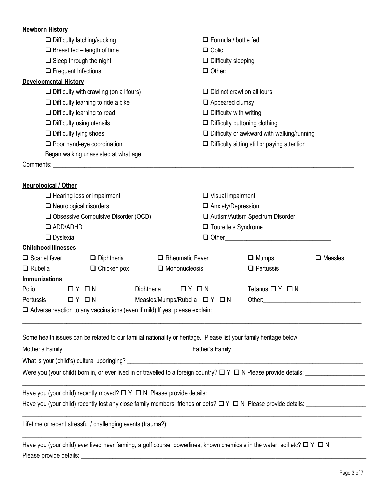| <b>Newborn History</b>                                                                                                              |                    |                               |                                             |                                                                  |                   |  |  |
|-------------------------------------------------------------------------------------------------------------------------------------|--------------------|-------------------------------|---------------------------------------------|------------------------------------------------------------------|-------------------|--|--|
| $\Box$ Difficulty latching/sucking                                                                                                  |                    |                               | $\Box$ Formula / bottle fed<br>$\Box$ Colic |                                                                  |                   |  |  |
|                                                                                                                                     |                    |                               |                                             |                                                                  |                   |  |  |
| $\Box$ Sleep through the night                                                                                                      |                    |                               | $\Box$ Difficulty sleeping                  |                                                                  |                   |  |  |
| $\Box$ Frequent Infections                                                                                                          |                    |                               |                                             |                                                                  |                   |  |  |
| <b>Developmental History</b>                                                                                                        |                    |                               |                                             |                                                                  |                   |  |  |
| $\Box$ Difficulty with crawling (on all fours)                                                                                      |                    |                               | $\Box$ Did not crawl on all fours           |                                                                  |                   |  |  |
| $\Box$ Difficulty learning to ride a bike                                                                                           |                    |                               | $\Box$ Appeared clumsy                      |                                                                  |                   |  |  |
| $\Box$ Difficulty learning to read                                                                                                  |                    |                               | $\Box$ Difficulty with writing              |                                                                  |                   |  |  |
| $\Box$ Difficulty using utensils                                                                                                    |                    |                               | $\Box$ Difficulty buttoning clothing        |                                                                  |                   |  |  |
| $\Box$ Difficulty tying shoes                                                                                                       |                    |                               |                                             | $\Box$ Difficulty or awkward with walking/running                |                   |  |  |
| $\Box$ Poor hand-eye coordination                                                                                                   |                    |                               |                                             | $\Box$ Difficulty sitting still or paying attention              |                   |  |  |
|                                                                                                                                     |                    |                               |                                             |                                                                  |                   |  |  |
|                                                                                                                                     |                    |                               |                                             |                                                                  |                   |  |  |
|                                                                                                                                     |                    |                               |                                             |                                                                  |                   |  |  |
| <b>Neurological / Other</b>                                                                                                         |                    |                               |                                             |                                                                  |                   |  |  |
| $\Box$ Hearing loss or impairment                                                                                                   |                    |                               | $\Box$ Visual impairment                    |                                                                  |                   |  |  |
| $\Box$ Neurological disorders                                                                                                       |                    |                               | $\Box$ Anxiety/Depression                   |                                                                  |                   |  |  |
| Obsessive Compulsive Disorder (OCD)                                                                                                 |                    |                               |                                             | Autism/Autism Spectrum Disorder                                  |                   |  |  |
| $\Box$ ADD/ADHD                                                                                                                     |                    |                               | □ Tourette's Syndrome                       |                                                                  |                   |  |  |
| $\Box$ Dyslexia                                                                                                                     |                    |                               |                                             |                                                                  |                   |  |  |
| <b>Childhood Illnesses</b>                                                                                                          |                    |                               |                                             |                                                                  |                   |  |  |
| $\Box$ Scarlet fever                                                                                                                | $\Box$ Diphtheria  | $\Box$ Rheumatic Fever        |                                             | $\Box$ Mumps                                                     | $\square$ Measles |  |  |
| $\Box$ Rubella                                                                                                                      | $\Box$ Chicken pox | $\Box$ Mononucleosis          |                                             | $\Box$ Pertussis                                                 |                   |  |  |
| <b>Immunizations</b>                                                                                                                |                    |                               |                                             |                                                                  |                   |  |  |
| Polio<br>$\Box$ $Y$ $\Box$ $N$                                                                                                      | Diphtheria         | $\Box$ $Y$ $\Box$ $N$         |                                             | Tetanus $\Box$ $\Upsilon$ $\Box$ N                               |                   |  |  |
| Pertussis<br>$\Box$ $Y$ $\Box$ $N$                                                                                                  |                    | Measles/Mumps/Rubella ロ Y ロ N |                                             | Other:                                                           |                   |  |  |
|                                                                                                                                     |                    |                               |                                             |                                                                  |                   |  |  |
|                                                                                                                                     |                    |                               |                                             |                                                                  |                   |  |  |
| Some health issues can be related to our familial nationality or heritage. Please list your family heritage below:                  |                    |                               |                                             |                                                                  |                   |  |  |
|                                                                                                                                     |                    |                               |                                             |                                                                  |                   |  |  |
|                                                                                                                                     |                    |                               |                                             |                                                                  |                   |  |  |
|                                                                                                                                     |                    |                               |                                             |                                                                  |                   |  |  |
|                                                                                                                                     |                    |                               |                                             |                                                                  |                   |  |  |
|                                                                                                                                     |                    |                               |                                             |                                                                  |                   |  |  |
| Have you (your child) recently lost any close family members, friends or pets? $\Box$ Y $\Box$ N Please provide details:            |                    |                               |                                             |                                                                  |                   |  |  |
|                                                                                                                                     |                    |                               |                                             | <u> 1999 - Johann John Stone, Amerikaansk politiker (* 1950)</u> |                   |  |  |
|                                                                                                                                     |                    |                               |                                             |                                                                  |                   |  |  |
|                                                                                                                                     |                    |                               |                                             |                                                                  |                   |  |  |
| Have you (your child) ever lived near farming, a golf course, powerlines, known chemicals in the water, soil etc? $\Box$ Y $\Box$ N |                    |                               |                                             |                                                                  |                   |  |  |
|                                                                                                                                     |                    |                               |                                             |                                                                  |                   |  |  |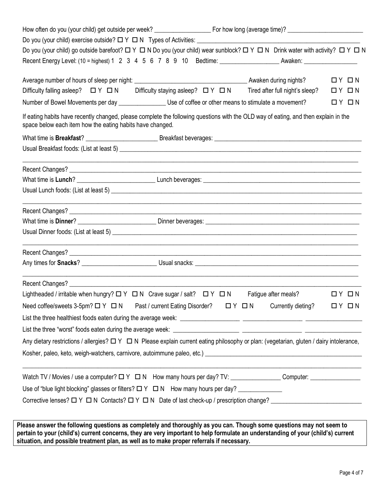| Do you (your child) go outside barefoot? $\Box Y \Box N$ Do you (your child) wear sunblock? $\Box Y \Box N$ Drink water with activity? $\Box Y \Box N$                                                                         |  |                       |  |
|--------------------------------------------------------------------------------------------------------------------------------------------------------------------------------------------------------------------------------|--|-----------------------|--|
|                                                                                                                                                                                                                                |  |                       |  |
|                                                                                                                                                                                                                                |  | $\Box$ $Y$ $\Box$ $N$ |  |
| Difficulty falling asleep? $\Box Y \Box N$ Difficulty staying asleep? $\Box Y \Box N$ Tired after full night's sleep?                                                                                                          |  | $\Box$ $Y$ $\Box$ $N$ |  |
| Number of Bowel Movements per day _______________________ Use of coffee or other means to stimulate a movement?                                                                                                                |  | $\Box$ $Y$ $\Box$ $N$ |  |
| If eating habits have recently changed, please complete the following questions with the OLD way of eating, and then explain in the<br>space below each item how the eating habits have changed.                               |  |                       |  |
|                                                                                                                                                                                                                                |  |                       |  |
|                                                                                                                                                                                                                                |  |                       |  |
|                                                                                                                                                                                                                                |  |                       |  |
|                                                                                                                                                                                                                                |  |                       |  |
|                                                                                                                                                                                                                                |  |                       |  |
|                                                                                                                                                                                                                                |  |                       |  |
|                                                                                                                                                                                                                                |  |                       |  |
|                                                                                                                                                                                                                                |  |                       |  |
|                                                                                                                                                                                                                                |  |                       |  |
|                                                                                                                                                                                                                                |  |                       |  |
|                                                                                                                                                                                                                                |  |                       |  |
| Lightheaded / irritable when hungry? $\Box Y \Box N$ Crave sugar / salt? $\Box Y \Box N$ Fatigue after meals? $\Box Y \Box N$                                                                                                  |  |                       |  |
| Need coffee/sweets 3-5pm? $\Box Y$ $\Box N$ Past / current Eating Disorder? $\Box Y$ $\Box N$ Currently dieting? $\Box Y$ $\Box N$                                                                                             |  |                       |  |
|                                                                                                                                                                                                                                |  |                       |  |
|                                                                                                                                                                                                                                |  |                       |  |
| Any dietary restrictions / allergies? $\Box$ Y $\Box$ N Please explain current eating philosophy or plan: (vegetarian, gluten / dairy intolerance,                                                                             |  |                       |  |
| Kosher, paleo, keto, weigh-watchers, carnivore, autoimmune paleo, etc.) [1989] The Connection Connection Connection Cost of Assembly Cost of Assembly Cost of Assembly Cost of Assembly Cost of Assembly Cost of Assembly Cost |  |                       |  |
|                                                                                                                                                                                                                                |  |                       |  |
| Watch TV / Movies / use a computer? $\Box Y \Box N$ How many hours per day? TV: Canadian Match TV / Movies / use a computer:                                                                                                   |  |                       |  |
| Use of "blue light blocking" glasses or filters? $\Box Y \Box N$ How many hours per day? __________________                                                                                                                    |  |                       |  |

**pertain to your (child's) current concerns, they are very important to help formulate an understanding of your (child's) current situation, and possible treatment plan, as well as to make proper referrals if necessary.**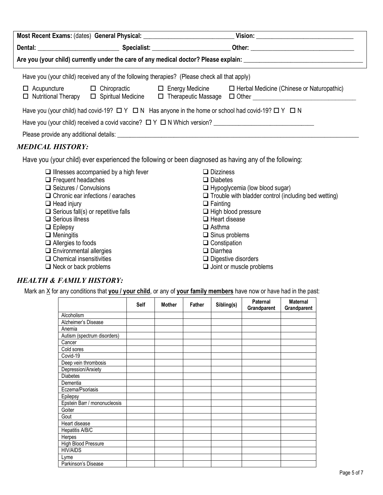| Most Recent Exams: (dates) General Physical: ___________________________________                                                                                                                                               |  |                                                                                              |                                                                                                                                                                                |  |  |  |  |  |
|--------------------------------------------------------------------------------------------------------------------------------------------------------------------------------------------------------------------------------|--|----------------------------------------------------------------------------------------------|--------------------------------------------------------------------------------------------------------------------------------------------------------------------------------|--|--|--|--|--|
|                                                                                                                                                                                                                                |  |                                                                                              |                                                                                                                                                                                |  |  |  |  |  |
|                                                                                                                                                                                                                                |  |                                                                                              |                                                                                                                                                                                |  |  |  |  |  |
|                                                                                                                                                                                                                                |  | Have you (your child) received any of the following therapies? (Please check all that apply) |                                                                                                                                                                                |  |  |  |  |  |
| $\Box$ Nutritional Therapy                                                                                                                                                                                                     |  |                                                                                              | □ Acupuncture □ Chiropractic □ Energy Medicine □ Herbal Medicine (Chinese or Naturopathic)<br>□ Spiritual Medicine □ Therapeutic Massage □ Other _____________________________ |  |  |  |  |  |
|                                                                                                                                                                                                                                |  |                                                                                              | Have you (your child) had covid-19? $\Box Y \Box N$ Has anyone in the home or school had covid-19? $\Box Y \Box N$                                                             |  |  |  |  |  |
|                                                                                                                                                                                                                                |  |                                                                                              |                                                                                                                                                                                |  |  |  |  |  |
| Please provide any additional details: Letter and the state of the state of the state of the state of the state of the state of the state of the state of the state of the state of the state of the state of the state of the |  |                                                                                              |                                                                                                                                                                                |  |  |  |  |  |
| <b>MEDICAL HISTORY:</b>                                                                                                                                                                                                        |  |                                                                                              |                                                                                                                                                                                |  |  |  |  |  |

Have you (your child) ever experienced the following or been diagnosed as having any of the following:

| $\Box$ Illnesses accompanied by a high fever | $\Box$ Dizziness                                            |
|----------------------------------------------|-------------------------------------------------------------|
| $\Box$ Frequent headaches                    | $\Box$ Diabetes                                             |
| $\Box$ Seizures / Convulsions                | $\Box$ Hypoglycemia (low blood sugar)                       |
| $\Box$ Chronic ear infections / earaches     | $\Box$ Trouble with bladder control (including bed wetting) |
| $\Box$ Head injury                           | $\Box$ Fainting                                             |
| $\Box$ Serious fall(s) or repetitive falls   | $\Box$ High blood pressure                                  |
| $\Box$ Serious illness                       | $\Box$ Heart disease                                        |
| $\Box$ Epilepsy                              | $\Box$ Asthma                                               |
| $\Box$ Meningitis                            | $\Box$ Sinus problems                                       |
| $\Box$ Allergies to foods                    | $\Box$ Constipation                                         |
| $\Box$ Environmental allergies               | $\Box$ Diarrhea                                             |
| $\Box$ Chemical insensitivities              | $\Box$ Digestive disorders                                  |

 $\Box$  Neck or back problems  $\Box$  Joint or muscle problems

## *HEALTH & FAMILY HISTORY:*

Mark an X for any conditions that you / your child, or any of your family members have now or have had in the past:

|                              | Self | <b>Mother</b> | <b>Father</b> | Sibling(s) | Paternal<br>Grandparent | <b>Maternal</b><br>Grandparent |
|------------------------------|------|---------------|---------------|------------|-------------------------|--------------------------------|
| <b>Alcoholism</b>            |      |               |               |            |                         |                                |
| Alzheimer's Disease          |      |               |               |            |                         |                                |
| Anemia                       |      |               |               |            |                         |                                |
| Autism (spectrum disorders)  |      |               |               |            |                         |                                |
| Cancer                       |      |               |               |            |                         |                                |
| Cold sores                   |      |               |               |            |                         |                                |
| Covid-19                     |      |               |               |            |                         |                                |
| Deep vein thrombosis         |      |               |               |            |                         |                                |
| Depression/Anxiety           |      |               |               |            |                         |                                |
| <b>Diabetes</b>              |      |               |               |            |                         |                                |
| Dementia                     |      |               |               |            |                         |                                |
| Eczema/Psoriasis             |      |               |               |            |                         |                                |
| Epilepsy                     |      |               |               |            |                         |                                |
| Epstein Barr / mononucleosis |      |               |               |            |                         |                                |
| Goiter                       |      |               |               |            |                         |                                |
| Gout                         |      |               |               |            |                         |                                |
| Heart disease                |      |               |               |            |                         |                                |
| Hepatitis A/B/C              |      |               |               |            |                         |                                |
| Herpes                       |      |               |               |            |                         |                                |
| <b>High Blood Pressure</b>   |      |               |               |            |                         |                                |
| <b>HIV/AIDS</b>              |      |               |               |            |                         |                                |
| Lyme                         |      |               |               |            |                         |                                |
| Parkinson's Disease          |      |               |               |            |                         |                                |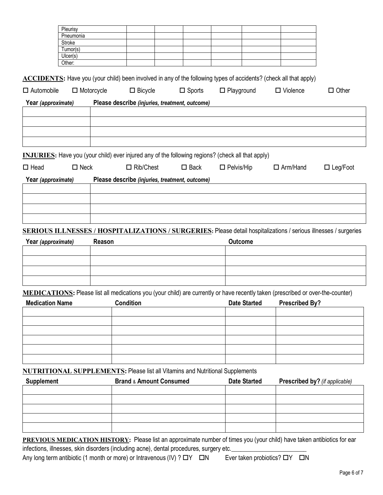|                                                                                                          | Pleurisy       |                   |                                                |                  |                   |                     |                                                                                                                                                                                                                                                                                                                                                                       |                                                                                                                         |
|----------------------------------------------------------------------------------------------------------|----------------|-------------------|------------------------------------------------|------------------|-------------------|---------------------|-----------------------------------------------------------------------------------------------------------------------------------------------------------------------------------------------------------------------------------------------------------------------------------------------------------------------------------------------------------------------|-------------------------------------------------------------------------------------------------------------------------|
|                                                                                                          | Pneumonia      |                   |                                                |                  |                   |                     |                                                                                                                                                                                                                                                                                                                                                                       |                                                                                                                         |
|                                                                                                          | <b>Stroke</b>  |                   |                                                |                  |                   |                     |                                                                                                                                                                                                                                                                                                                                                                       |                                                                                                                         |
|                                                                                                          | Tumor(s)       |                   |                                                |                  |                   |                     |                                                                                                                                                                                                                                                                                                                                                                       |                                                                                                                         |
|                                                                                                          | Ulcer(s)       |                   |                                                |                  |                   |                     |                                                                                                                                                                                                                                                                                                                                                                       |                                                                                                                         |
|                                                                                                          | Other:         |                   |                                                |                  |                   |                     |                                                                                                                                                                                                                                                                                                                                                                       |                                                                                                                         |
| $\Box$ Automobile                                                                                        |                | $\Box$ Motorcycle | $\Box$ Bicycle                                 | $\square$ Sports | $\Box$ Playground |                     | ACCIDENTS: Have you (your child) been involved in any of the following types of accidents? (check all that apply)<br>$\Box$ Violence                                                                                                                                                                                                                                  | $\Box$ Other                                                                                                            |
| Year (approximate)                                                                                       |                |                   | Please describe (injuries, treatment, outcome) |                  |                   |                     |                                                                                                                                                                                                                                                                                                                                                                       |                                                                                                                         |
|                                                                                                          |                |                   |                                                |                  |                   |                     |                                                                                                                                                                                                                                                                                                                                                                       |                                                                                                                         |
|                                                                                                          |                |                   |                                                |                  |                   |                     |                                                                                                                                                                                                                                                                                                                                                                       |                                                                                                                         |
|                                                                                                          |                |                   |                                                |                  |                   |                     |                                                                                                                                                                                                                                                                                                                                                                       |                                                                                                                         |
| <b>INJURIES:</b> Have you (your child) ever injured any of the following regions? (check all that apply) |                |                   |                                                |                  |                   |                     |                                                                                                                                                                                                                                                                                                                                                                       |                                                                                                                         |
| $\Box$ Head                                                                                              | $\square$ Neck |                   | $\Box$ Rib/Chest                               | $\square$ Back   | $\Box$ Pelvis/Hip |                     | $\Box$ Arm/Hand                                                                                                                                                                                                                                                                                                                                                       | $\Box$ Leg/Foot                                                                                                         |
| Year (approximate)                                                                                       |                |                   | Please describe (injuries, treatment, outcome) |                  |                   |                     |                                                                                                                                                                                                                                                                                                                                                                       |                                                                                                                         |
|                                                                                                          |                |                   |                                                |                  |                   |                     |                                                                                                                                                                                                                                                                                                                                                                       |                                                                                                                         |
|                                                                                                          |                |                   |                                                |                  |                   |                     |                                                                                                                                                                                                                                                                                                                                                                       |                                                                                                                         |
|                                                                                                          |                |                   |                                                |                  |                   |                     |                                                                                                                                                                                                                                                                                                                                                                       |                                                                                                                         |
|                                                                                                          |                |                   |                                                |                  |                   |                     |                                                                                                                                                                                                                                                                                                                                                                       | <b>SERIOUS ILLNESSES / HOSPITALIZATIONS / SURGERIES:</b> Please detail hospitalizations / serious illnesses / surgeries |
| Year (approximate)                                                                                       |                | Reason            |                                                |                  | <b>Outcome</b>    |                     |                                                                                                                                                                                                                                                                                                                                                                       |                                                                                                                         |
|                                                                                                          |                |                   |                                                |                  |                   |                     |                                                                                                                                                                                                                                                                                                                                                                       |                                                                                                                         |
|                                                                                                          |                |                   |                                                |                  |                   |                     |                                                                                                                                                                                                                                                                                                                                                                       |                                                                                                                         |
|                                                                                                          |                |                   |                                                |                  |                   |                     |                                                                                                                                                                                                                                                                                                                                                                       |                                                                                                                         |
| <b>Medication Name</b>                                                                                   |                |                   |                                                |                  |                   |                     | MEDICATIONS: Please list all medications you (your child) are currently or have recently taken (prescribed or over-the-counter)<br><b>Condition</b> Condition Condition Condition Condition Condition Condition Condition Condition Condition Condition Condition Condition Condition Condition Condition Condition Condition Condition Condition Condition Condition |                                                                                                                         |
|                                                                                                          |                |                   |                                                |                  |                   |                     |                                                                                                                                                                                                                                                                                                                                                                       |                                                                                                                         |
|                                                                                                          |                |                   |                                                |                  |                   |                     |                                                                                                                                                                                                                                                                                                                                                                       |                                                                                                                         |
|                                                                                                          |                |                   |                                                |                  |                   |                     |                                                                                                                                                                                                                                                                                                                                                                       |                                                                                                                         |
|                                                                                                          |                |                   |                                                |                  |                   |                     |                                                                                                                                                                                                                                                                                                                                                                       |                                                                                                                         |
|                                                                                                          |                |                   |                                                |                  |                   |                     |                                                                                                                                                                                                                                                                                                                                                                       |                                                                                                                         |
| <b>NUTRITIONAL SUPPLEMENTS: Please list all Vitamins and Nutritional Supplements</b>                     |                |                   |                                                |                  |                   |                     |                                                                                                                                                                                                                                                                                                                                                                       |                                                                                                                         |
| <b>Supplement</b>                                                                                        |                |                   | <b>Brand &amp; Amount Consumed</b>             |                  |                   | <b>Date Started</b> | Prescribed by? (if applicable)                                                                                                                                                                                                                                                                                                                                        |                                                                                                                         |
|                                                                                                          |                |                   |                                                |                  |                   |                     |                                                                                                                                                                                                                                                                                                                                                                       |                                                                                                                         |
|                                                                                                          |                |                   |                                                |                  |                   |                     |                                                                                                                                                                                                                                                                                                                                                                       |                                                                                                                         |
|                                                                                                          |                |                   |                                                |                  |                   |                     |                                                                                                                                                                                                                                                                                                                                                                       |                                                                                                                         |

**PREVIOUS MEDICATION HISTORY:** Please list an approximate number of times you (your child) have taken antibiotics for ear infections, illnesses, skin disorders (including acne), dental procedures, surgery etc.

Any long term antibiotic (1 month or more) or Intravenous (IV) ?  $\Box Y$   $\Box N$  Ever taken probiotics?  $\Box Y$   $\Box N$